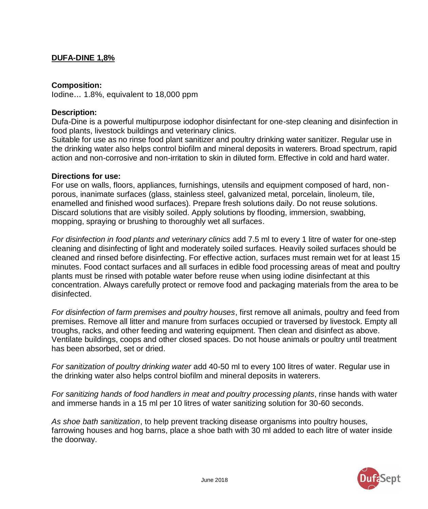# **DUFA-DINE 1,8%**

#### **Composition:**

Iodine... 1.8%, equivalent to 18,000 ppm

#### **Description:**

Dufa-Dine is a powerful multipurpose iodophor disinfectant for one-step cleaning and disinfection in food plants, livestock buildings and veterinary clinics.

Suitable for use as no rinse food plant sanitizer and poultry drinking water sanitizer. Regular use in the drinking water also helps control biofilm and mineral deposits in waterers. Broad spectrum, rapid action and non-corrosive and non-irritation to skin in diluted form. Effective in cold and hard water.

#### **Directions for use:**

For use on walls, floors, appliances, furnishings, utensils and equipment composed of hard, nonporous, inanimate surfaces (glass, stainless steel, galvanized metal, porcelain, linoleum, tile, enamelled and finished wood surfaces). Prepare fresh solutions daily. Do not reuse solutions. Discard solutions that are visibly soiled. Apply solutions by flooding, immersion, swabbing, mopping, spraying or brushing to thoroughly wet all surfaces.

*For disinfection in food plants and veterinary clinics* add 7.5 ml to every 1 litre of water for one-step cleaning and disinfecting of light and moderately soiled surfaces. Heavily soiled surfaces should be cleaned and rinsed before disinfecting. For effective action, surfaces must remain wet for at least 15 minutes. Food contact surfaces and all surfaces in edible food processing areas of meat and poultry plants must be rinsed with potable water before reuse when using iodine disinfectant at this concentration. Always carefully protect or remove food and packaging materials from the area to be disinfected.

*For disinfection of farm premises and poultry houses*, first remove all animals, poultry and feed from premises. Remove all litter and manure from surfaces occupied or traversed by livestock. Empty all troughs, racks, and other feeding and watering equipment. Then clean and disinfect as above. Ventilate buildings, coops and other closed spaces. Do not house animals or poultry until treatment has been absorbed, set or dried.

*For sanitization of poultry drinking water* add 40-50 ml to every 100 litres of water. Regular use in the drinking water also helps control biofilm and mineral deposits in waterers.

*For sanitizing hands of food handlers in meat and poultry processing plants*, rinse hands with water and immerse hands in a 15 ml per 10 litres of water sanitizing solution for 30-60 seconds.

*As shoe bath sanitization*, to help prevent tracking disease organisms into poultry houses, farrowing houses and hog barns, place a shoe bath with 30 ml added to each litre of water inside the doorway.